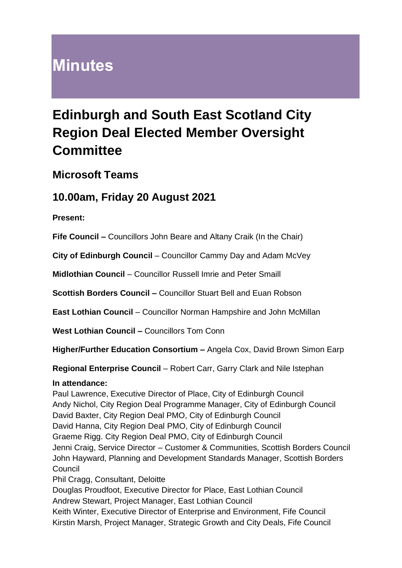# **Minutes**

# **Edinburgh and South East Scotland City Region Deal Elected Member Oversight Committee**

## **Microsoft Teams**

# **10.00am, Friday 20 August 2021**

**Present:**

**Fife Council –** Councillors John Beare and Altany Craik (In the Chair)

**City of Edinburgh Council** – Councillor Cammy Day and Adam McVey

**Midlothian Council** – Councillor Russell Imrie and Peter Smaill

**Scottish Borders Council –** Councillor Stuart Bell and Euan Robson

**East Lothian Council** – Councillor Norman Hampshire and John McMillan

**West Lothian Council –** Councillors Tom Conn

**Higher/Further Education Consortium –** Angela Cox, David Brown Simon Earp

**Regional Enterprise Council** – Robert Carr, Garry Clark and Nile Istephan

#### **In attendance:**

Paul Lawrence, Executive Director of Place, City of Edinburgh Council Andy Nichol, City Region Deal Programme Manager, City of Edinburgh Council David Baxter, City Region Deal PMO, City of Edinburgh Council David Hanna, City Region Deal PMO, City of Edinburgh Council Graeme Rigg. City Region Deal PMO, City of Edinburgh Council Jenni Craig, Service Director – Customer & Communities, Scottish Borders Council John Hayward, Planning and Development Standards Manager, Scottish Borders **Council** Phil Cragg, Consultant, Deloitte

Douglas Proudfoot, Executive Director for Place, East Lothian Council Andrew Stewart, Project Manager, East Lothian Council Keith Winter, Executive Director of Enterprise and Environment, Fife Council

Kirstin Marsh, Project Manager, Strategic Growth and City Deals, Fife Council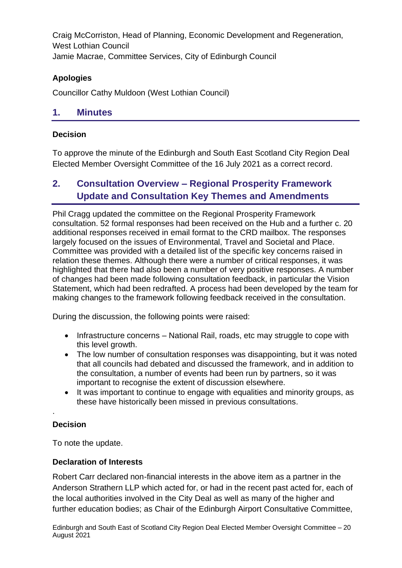Craig McCorriston, Head of Planning, Economic Development and Regeneration, West Lothian Council Jamie Macrae, Committee Services, City of Edinburgh Council

#### **Apologies**

Councillor Cathy Muldoon (West Lothian Council)

#### **1. Minutes**

#### **Decision**

To approve the minute of the Edinburgh and South East Scotland City Region Deal Elected Member Oversight Committee of the 16 July 2021 as a correct record.

## **2. Consultation Overview – Regional Prosperity Framework Update and Consultation Key Themes and Amendments**

Phil Cragg updated the committee on the Regional Prosperity Framework consultation. 52 formal responses had been received on the Hub and a further c. 20 additional responses received in email format to the CRD mailbox. The responses largely focused on the issues of Environmental, Travel and Societal and Place. Committee was provided with a detailed list of the specific key concerns raised in relation these themes. Although there were a number of critical responses, it was highlighted that there had also been a number of very positive responses. A number of changes had been made following consultation feedback, in particular the Vision Statement, which had been redrafted. A process had been developed by the team for making changes to the framework following feedback received in the consultation.

During the discussion, the following points were raised:

- Infrastructure concerns National Rail, roads, etc may struggle to cope with this level growth.
- The low number of consultation responses was disappointing, but it was noted that all councils had debated and discussed the framework, and in addition to the consultation, a number of events had been run by partners, so it was important to recognise the extent of discussion elsewhere.
- It was important to continue to engage with equalities and minority groups, as these have historically been missed in previous consultations.

#### **Decision**

.

To note the update.

#### **Declaration of Interests**

Robert Carr declared non-financial interests in the above item as a partner in the Anderson Strathern LLP which acted for, or had in the recent past acted for, each of the local authorities involved in the City Deal as well as many of the higher and further education bodies; as Chair of the Edinburgh Airport Consultative Committee,

Edinburgh and South East of Scotland City Region Deal Elected Member Oversight Committee – 20 August 2021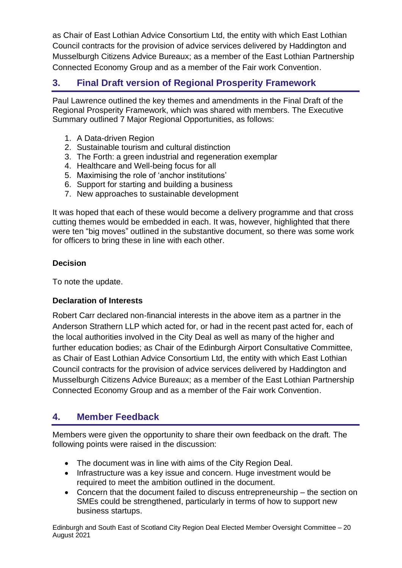as Chair of East Lothian Advice Consortium Ltd, the entity with which East Lothian Council contracts for the provision of advice services delivered by Haddington and Musselburgh Citizens Advice Bureaux; as a member of the East Lothian Partnership Connected Economy Group and as a member of the Fair work Convention.

## **3. Final Draft version of Regional Prosperity Framework**

Paul Lawrence outlined the key themes and amendments in the Final Draft of the Regional Prosperity Framework, which was shared with members. The Executive Summary outlined 7 Major Regional Opportunities, as follows:

- 1. A Data-driven Region
- 2. Sustainable tourism and cultural distinction
- 3. The Forth: a green industrial and regeneration exemplar
- 4. Healthcare and Well-being focus for all
- 5. Maximising the role of 'anchor institutions'
- 6. Support for starting and building a business
- 7. New approaches to sustainable development

It was hoped that each of these would become a delivery programme and that cross cutting themes would be embedded in each. It was, however, highlighted that there were ten "big moves" outlined in the substantive document, so there was some work for officers to bring these in line with each other.

#### **Decision**

To note the update.

#### **Declaration of Interests**

Robert Carr declared non-financial interests in the above item as a partner in the Anderson Strathern LLP which acted for, or had in the recent past acted for, each of the local authorities involved in the City Deal as well as many of the higher and further education bodies; as Chair of the Edinburgh Airport Consultative Committee, as Chair of East Lothian Advice Consortium Ltd, the entity with which East Lothian Council contracts for the provision of advice services delivered by Haddington and Musselburgh Citizens Advice Bureaux; as a member of the East Lothian Partnership Connected Economy Group and as a member of the Fair work Convention.

## **4. Member Feedback**

Members were given the opportunity to share their own feedback on the draft. The following points were raised in the discussion:

- The document was in line with aims of the City Region Deal.
- Infrastructure was a key issue and concern. Huge investment would be required to meet the ambition outlined in the document.
- Concern that the document failed to discuss entrepreneurship the section on SMEs could be strengthened, particularly in terms of how to support new business startups.

Edinburgh and South East of Scotland City Region Deal Elected Member Oversight Committee – 20 August 2021